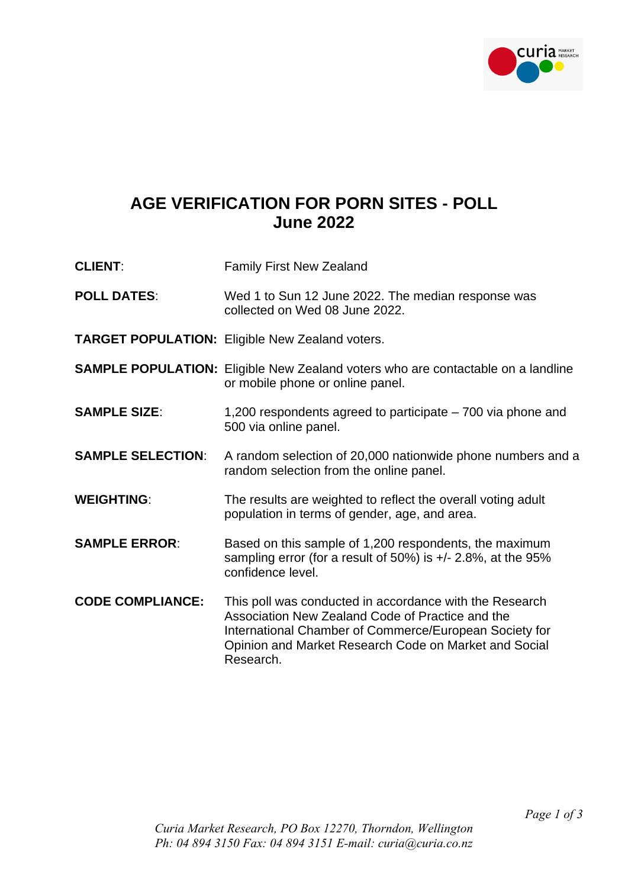

## **AGE VERIFICATION FOR PORN SITES - POLL June 2022**

| <b>CLIENT:</b>           | <b>Family First New Zealand</b>                                                                                                                                                                                                             |
|--------------------------|---------------------------------------------------------------------------------------------------------------------------------------------------------------------------------------------------------------------------------------------|
| <b>POLL DATES:</b>       | Wed 1 to Sun 12 June 2022. The median response was<br>collected on Wed 08 June 2022.                                                                                                                                                        |
|                          | <b>TARGET POPULATION: Eligible New Zealand voters.</b>                                                                                                                                                                                      |
|                          | <b>SAMPLE POPULATION:</b> Eligible New Zealand voters who are contactable on a landline<br>or mobile phone or online panel.                                                                                                                 |
| <b>SAMPLE SIZE:</b>      | 1,200 respondents agreed to participate – 700 via phone and<br>500 via online panel.                                                                                                                                                        |
| <b>SAMPLE SELECTION:</b> | A random selection of 20,000 nationwide phone numbers and a<br>random selection from the online panel.                                                                                                                                      |
| <b>WEIGHTING:</b>        | The results are weighted to reflect the overall voting adult<br>population in terms of gender, age, and area.                                                                                                                               |
| <b>SAMPLE ERROR:</b>     | Based on this sample of 1,200 respondents, the maximum<br>sampling error (for a result of 50%) is $+/- 2.8\%$ , at the 95%<br>confidence level.                                                                                             |
| <b>CODE COMPLIANCE:</b>  | This poll was conducted in accordance with the Research<br>Association New Zealand Code of Practice and the<br>International Chamber of Commerce/European Society for<br>Opinion and Market Research Code on Market and Social<br>Research. |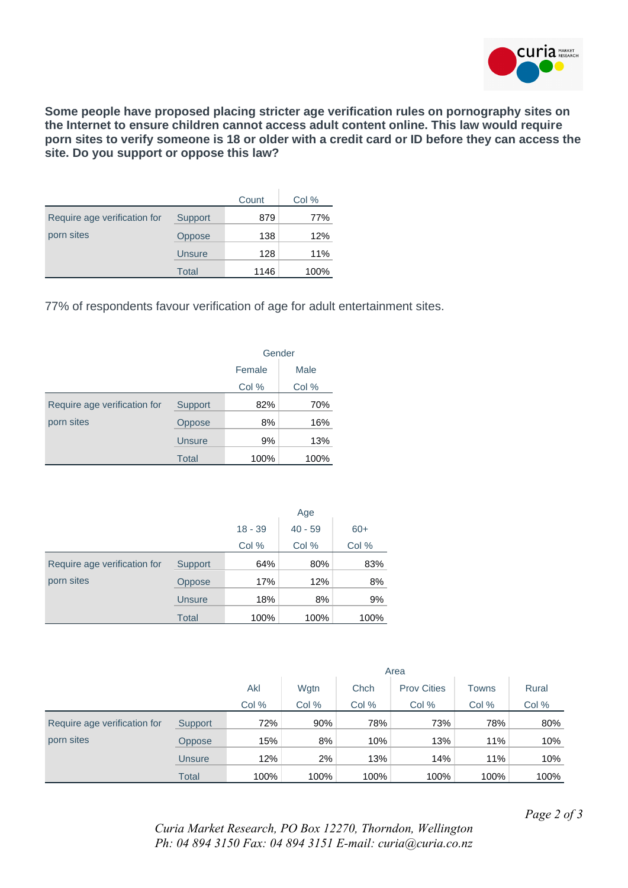

**Some people have proposed placing stricter age verification rules on pornography sites on the Internet to ensure children cannot access adult content online. This law would require porn sites to verify someone is 18 or older with a credit card or ID before they can access the site. Do you support or oppose this law?**

|                              |               | Count | Col % |
|------------------------------|---------------|-------|-------|
| Require age verification for | Support       | 879   | 77%   |
| porn sites                   | Oppose        | 138   | 12%   |
|                              | <b>Unsure</b> | 128   | 11%   |
|                              | Total         | 1146  | 100%  |

77% of respondents favour verification of age for adult entertainment sites.

|                              |                | Gender         |       |  |  |
|------------------------------|----------------|----------------|-------|--|--|
|                              |                | Male<br>Female |       |  |  |
|                              |                | Col %          | Col % |  |  |
| Require age verification for | <b>Support</b> | 82%            | 70%   |  |  |
| porn sites                   | Oppose         | 8%             | 16%   |  |  |
|                              | <b>Unsure</b>  | 9%             | 13%   |  |  |
|                              | <b>Total</b>   | 100%           | 100%  |  |  |

|                              |               | Age       |           |       |  |  |
|------------------------------|---------------|-----------|-----------|-------|--|--|
|                              |               | $18 - 39$ | $40 - 59$ | $60+$ |  |  |
|                              |               | Col %     | Col %     | Col % |  |  |
| Require age verification for | Support       | 64%       | 80%       | 83%   |  |  |
| porn sites                   | Oppose        | 17%       | 12%       | 8%    |  |  |
|                              | <b>Unsure</b> | 18%       | 8%        | 9%    |  |  |
|                              | <b>Total</b>  | 100%      | 100%      | 100%  |  |  |

|                              |               | Area        |       |       |                    |       |       |
|------------------------------|---------------|-------------|-------|-------|--------------------|-------|-------|
|                              |               | Akl<br>Wgtn |       | Chch  | <b>Prov Cities</b> | Towns | Rural |
|                              |               | Col %       | Col % | Col % | Col %              | Col % | Col % |
| Require age verification for | Support       | 72%         | 90%   | 78%   | 73%                | 78%   | 80%   |
| porn sites                   | <b>Oppose</b> | 15%         | 8%    | 10%   | 13%                | 11%   | 10%   |
|                              | Unsure        | 12%         | 2%    | 13%   | 14%                | 11%   | 10%   |
|                              | <b>Total</b>  | 100%        | 100%  | 100%  | 100%               | 100%  | 100%  |

*Page 2 of 3*

*Curia Market Research, PO Box 12270, Thorndon, Wellington Ph: 04 894 3150 Fax: 04 894 3151 E-mail: curia@curia.co.nz*